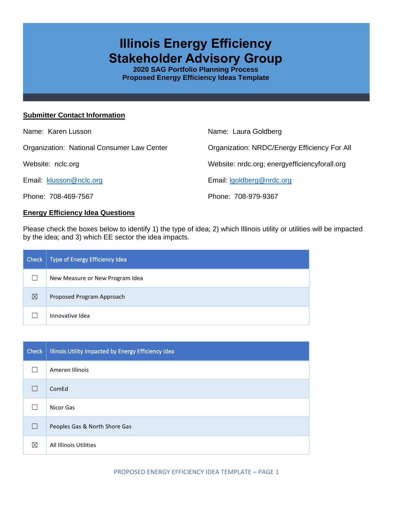# **Illinois Energy Efficiency Stakeholder Advisory Group**

**2020 SAG Portfolio Planning Process Proposed Energy Efficiency Ideas Template**

#### **Submitter Contact Information**

| Name: Karen Lusson                         | Name: Laura Goldberg                             |
|--------------------------------------------|--------------------------------------------------|
| Organization: National Consumer Law Center | Organization: NRDC/Energy Efficiency For All     |
| Website: nclc.org                          | Website: nrdc.org; energy efficiency for all.org |
| Email: klusson@nclc.org                    | Email: Igoldberg@nrdc.org                        |
| Phone: 708-469-7567                        | Phone: 708-979-9367                              |

## **Energy Efficiency Idea Questions**

Please check the boxes below to identify 1) the type of idea; 2) which Illinois utility or utilities will be impacted by the idea; and 3) which EE sector the idea impacts.

| Check | Type of Energy Efficiency Idea  |
|-------|---------------------------------|
|       | New Measure or New Program Idea |
| ⊠     | Proposed Program Approach       |
|       | Innovative Idea                 |

| Check | Illinois Utility Impacted by Energy Efficiency Idea |
|-------|-----------------------------------------------------|
|       | Ameren Illinois                                     |
|       | ComEd                                               |
|       | Nicor Gas                                           |
|       | Peoples Gas & North Shore Gas                       |
| ⊠     | All Illinois Utilities                              |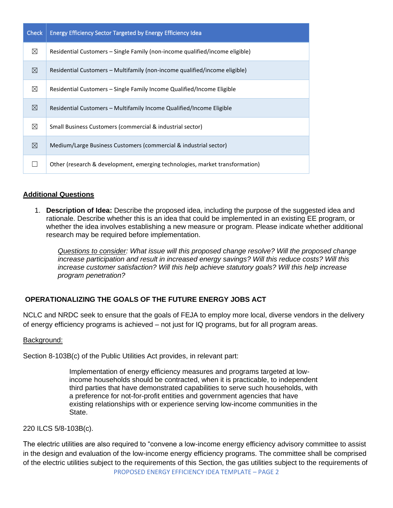| <b>Check</b> | <b>Energy Efficiency Sector Targeted by Energy Efficiency Idea</b>           |
|--------------|------------------------------------------------------------------------------|
| $\boxtimes$  | Residential Customers – Single Family (non-income qualified/income eligible) |
| $\boxtimes$  | Residential Customers – Multifamily (non-income qualified/income eligible)   |
| $\boxtimes$  | Residential Customers - Single Family Income Qualified/Income Eligible       |
| $\boxtimes$  | Residential Customers - Multifamily Income Qualified/Income Eligible         |
| ⊠            | Small Business Customers (commercial & industrial sector)                    |
| $\boxtimes$  | Medium/Large Business Customers (commercial & industrial sector)             |
|              | Other (research & development, emerging technologies, market transformation) |

## **Additional Questions**

1. **Description of Idea:** Describe the proposed idea, including the purpose of the suggested idea and rationale. Describe whether this is an idea that could be implemented in an existing EE program, or whether the idea involves establishing a new measure or program. Please indicate whether additional research may be required before implementation.

*Questions to consider: What issue will this proposed change resolve? Will the proposed change increase participation and result in increased energy savings? Will this reduce costs? Will this increase customer satisfaction? Will this help achieve statutory goals? Will this help increase program penetration?* 

# **OPERATIONALIZING THE GOALS OF THE FUTURE ENERGY JOBS ACT**

NCLC and NRDC seek to ensure that the goals of FEJA to employ more local, diverse vendors in the delivery of energy efficiency programs is achieved – not just for IQ programs, but for all program areas.

#### Background:

Section 8-103B(c) of the Public Utilities Act provides, in relevant part:

Implementation of energy efficiency measures and programs targeted at lowincome households should be contracted, when it is practicable, to independent third parties that have demonstrated capabilities to serve such households, with a preference for not-for-profit entities and government agencies that have existing relationships with or experience serving low-income communities in the State.

220 ILCS 5/8-103B(c).

PROPOSED ENERGY EFFICIENCY IDEA TEMPLATE – PAGE 2 The electric utilities are also required to "convene a low-income energy efficiency advisory committee to assist in the design and evaluation of the low-income energy efficiency programs. The committee shall be comprised of the electric utilities subject to the requirements of this Section, the gas utilities subject to the requirements of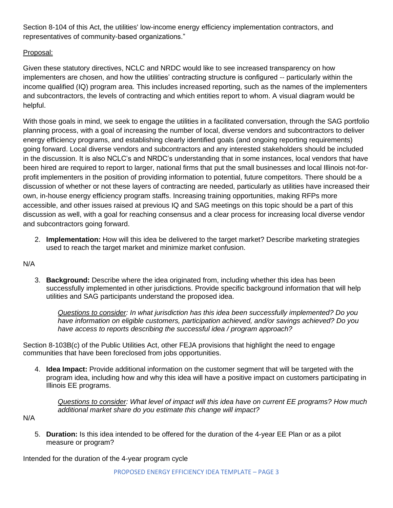Section 8-104 of this Act, the utilities' low-income energy efficiency implementation contractors, and representatives of community-based organizations."

# Proposal:

Given these statutory directives, NCLC and NRDC would like to see increased transparency on how implementers are chosen, and how the utilities' contracting structure is configured -- particularly within the income qualified (IQ) program area. This includes increased reporting, such as the names of the implementers and subcontractors, the levels of contracting and which entities report to whom. A visual diagram would be helpful.

With those goals in mind, we seek to engage the utilities in a facilitated conversation, through the SAG portfolio planning process, with a goal of increasing the number of local, diverse vendors and subcontractors to deliver energy efficiency programs, and establishing clearly identified goals (and ongoing reporting requirements) going forward. Local diverse vendors and subcontractors and any interested stakeholders should be included in the discussion. It is also NCLC's and NRDC's understanding that in some instances, local vendors that have been hired are required to report to larger, national firms that put the small businesses and local Illinois not-forprofit implementers in the position of providing information to potential, future competitors. There should be a discussion of whether or not these layers of contracting are needed, particularly as utilities have increased their own, in-house energy efficiency program staffs. Increasing training opportunities, making RFPs more accessible, and other issues raised at previous IQ and SAG meetings on this topic should be a part of this discussion as well, with a goal for reaching consensus and a clear process for increasing local diverse vendor and subcontractors going forward.

2. **Implementation:** How will this idea be delivered to the target market? Describe marketing strategies used to reach the target market and minimize market confusion.

# N/A

3. **Background:** Describe where the idea originated from, including whether this idea has been successfully implemented in other jurisdictions. Provide specific background information that will help utilities and SAG participants understand the proposed idea.

*Questions to consider: In what jurisdiction has this idea been successfully implemented? Do you have information on eligible customers, participation achieved, and/or savings achieved? Do you have access to reports describing the successful idea / program approach?* 

Section 8-103B(c) of the Public Utilities Act, other FEJA provisions that highlight the need to engage communities that have been foreclosed from jobs opportunities.

4. **Idea Impact:** Provide additional information on the customer segment that will be targeted with the program idea, including how and why this idea will have a positive impact on customers participating in Illinois EE programs.

*Questions to consider: What level of impact will this idea have on current EE programs? How much additional market share do you estimate this change will impact?*

N/A

5. **Duration:** Is this idea intended to be offered for the duration of the 4-year EE Plan or as a pilot measure or program?

Intended for the duration of the 4-year program cycle